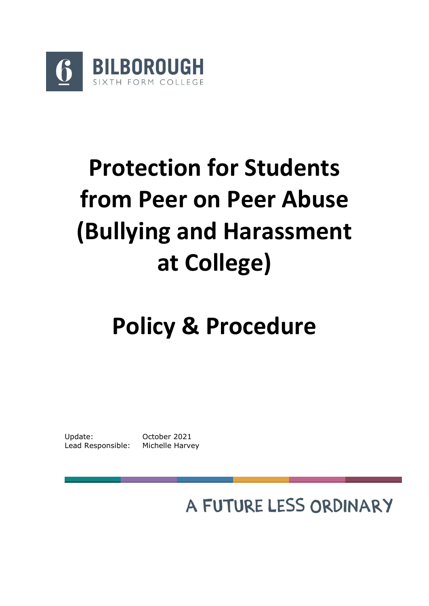

# **Protection for Students from Peer on Peer Abuse (Bullying and Harassment at College)**

# **Policy & Procedure**

Update: October 2021 Lead Responsible: Michelle Harvey

A FUTURE LESS ORDINARY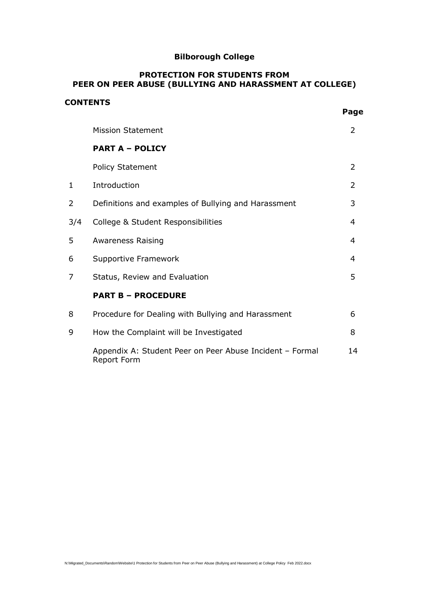# **Bilborough College**

#### **PROTECTION FOR STUDENTS FROM PEER ON PEER ABUSE (BULLYING AND HARASSMENT AT COLLEGE)**

#### **CONTENTS**

|              | <b>Mission Statement</b>                                                | 2  |
|--------------|-------------------------------------------------------------------------|----|
|              | <b>PART A - POLICY</b>                                                  |    |
|              | <b>Policy Statement</b>                                                 | 2  |
| $\mathbf{1}$ | Introduction                                                            | 2  |
| 2            | Definitions and examples of Bullying and Harassment                     | 3  |
| 3/4          | College & Student Responsibilities                                      | 4  |
| 5            | <b>Awareness Raising</b>                                                | 4  |
| 6            | Supportive Framework                                                    | 4  |
| 7            | Status, Review and Evaluation                                           | 5  |
|              | <b>PART B - PROCEDURE</b>                                               |    |
| 8            | Procedure for Dealing with Bullying and Harassment                      | 6  |
| 9            | How the Complaint will be Investigated                                  | 8  |
|              | Appendix A: Student Peer on Peer Abuse Incident - Formal<br>Report Form | 14 |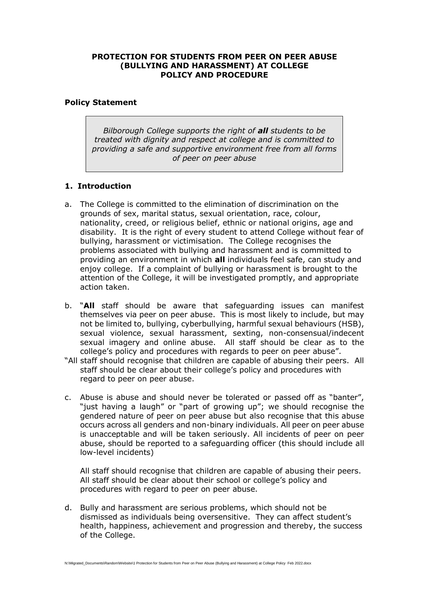#### **PROTECTION FOR STUDENTS FROM PEER ON PEER ABUSE (BULLYING AND HARASSMENT) AT COLLEGE POLICY AND PROCEDURE**

#### **Policy Statement**

*Bilborough College supports the right of all students to be treated with dignity and respect at college and is committed to providing a safe and supportive environment free from all forms of peer on peer abuse*

#### **1. Introduction**

- a. The College is committed to the elimination of discrimination on the grounds of sex, marital status, sexual orientation, race, colour, nationality, creed, or religious belief, ethnic or national origins, age and disability. It is the right of every student to attend College without fear of bullying, harassment or victimisation. The College recognises the problems associated with bullying and harassment and is committed to providing an environment in which **all** individuals feel safe, can study and enjoy college. If a complaint of bullying or harassment is brought to the attention of the College, it will be investigated promptly, and appropriate action taken.
- b. "**All** staff should be aware that safeguarding issues can manifest themselves via peer on peer abuse. This is most likely to include, but may not be limited to, bullying, cyberbullying, harmful sexual behaviours (HSB), sexual violence, sexual harassment, sexting, non-consensual/indecent sexual imagery and online abuse. All staff should be clear as to the college's policy and procedures with regards to peer on peer abuse".
- "All staff should recognise that children are capable of abusing their peers. All staff should be clear about their college's policy and procedures with regard to peer on peer abuse.
- c. Abuse is abuse and should never be tolerated or passed off as "banter", "just having a laugh" or "part of growing up"; we should recognise the gendered nature of peer on peer abuse but also recognise that this abuse occurs across all genders and non-binary individuals. All peer on peer abuse is unacceptable and will be taken seriously. All incidents of peer on peer abuse, should be reported to a safeguarding officer (this should include all low-level incidents)

All staff should recognise that children are capable of abusing their peers. All staff should be clear about their school or college's policy and procedures with regard to peer on peer abuse.

d. Bully and harassment are serious problems, which should not be dismissed as individuals being oversensitive. They can affect student's health, happiness, achievement and progression and thereby, the success of the College.

N:\Migrated\_Documents\Random\Website\1 Protection for Students from Peer on Peer Abuse (Bullying and Harassment) at College Policy Feb 2022.docx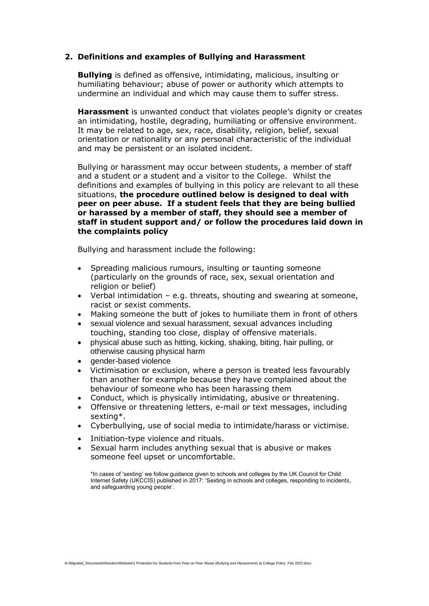#### **2. Definitions and examples of Bullying and Harassment**

**Bullying** is defined as offensive, intimidating, malicious, insulting or humiliating behaviour; abuse of power or authority which attempts to undermine an individual and which may cause them to suffer stress.

**Harassment** is unwanted conduct that violates people's dignity or creates an intimidating, hostile, degrading, humiliating or offensive environment. It may be related to age, sex, race, disability, religion, belief, sexual orientation or nationality or any personal characteristic of the individual and may be persistent or an isolated incident.

Bullying or harassment may occur between students, a member of staff and a student or a student and a visitor to the College. Whilst the definitions and examples of bullying in this policy are relevant to all these situations, **the procedure outlined below is designed to deal with peer on peer abuse. If a student feels that they are being bullied or harassed by a member of staff, they should see a member of staff in student support and/ or follow the procedures laid down in the complaints policy** 

Bullying and harassment include the following:

- Spreading malicious rumours, insulting or taunting someone (particularly on the grounds of race, sex, sexual orientation and religion or belief)
- Verbal intimidation  $-$  e.g. threats, shouting and swearing at someone, racist or sexist comments.
- Making someone the butt of jokes to humiliate them in front of others
- sexual violence and sexual harassment, sexual advances including touching, standing too close, display of offensive materials.
- physical abuse such as hitting, kicking, shaking, biting, hair pulling, or otherwise causing physical harm
- gender-based violence
- Victimisation or exclusion, where a person is treated less favourably than another for example because they have complained about the behaviour of someone who has been harassing them
- Conduct, which is physically intimidating, abusive or threatening.
- Offensive or threatening letters, e-mail or text messages, including sexting\*.
- Cyberbullying, use of social media to intimidate/harass or victimise.
- Initiation-type violence and rituals.
- Sexual harm includes anything sexual that is abusive or makes someone feel upset or uncomfortable.

\*In cases of 'sexting' we follow guidance given to schools and colleges by the UK Council for Child Internet Safety (UKCCIS) published in 2017: 'Sexting in schools and colleges, responding to incidents, and safeguarding young people'.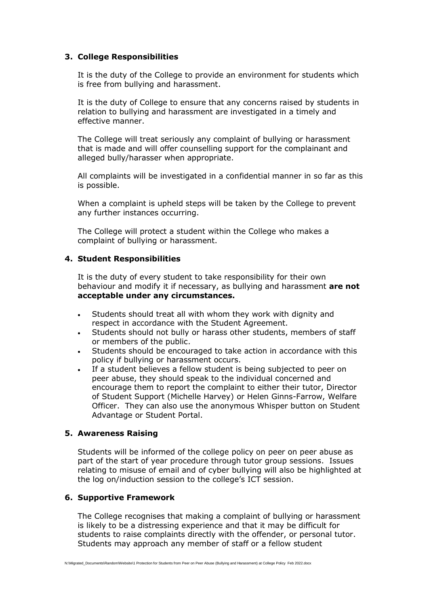#### **3. College Responsibilities**

It is the duty of the College to provide an environment for students which is free from bullying and harassment.

It is the duty of College to ensure that any concerns raised by students in relation to bullying and harassment are investigated in a timely and effective manner.

The College will treat seriously any complaint of bullying or harassment that is made and will offer counselling support for the complainant and alleged bully/harasser when appropriate.

All complaints will be investigated in a confidential manner in so far as this is possible.

When a complaint is upheld steps will be taken by the College to prevent any further instances occurring.

The College will protect a student within the College who makes a complaint of bullying or harassment.

#### **4. Student Responsibilities**

It is the duty of every student to take responsibility for their own behaviour and modify it if necessary, as bullying and harassment **are not acceptable under any circumstances.** 

- Students should treat all with whom they work with dignity and respect in accordance with the Student Agreement.
- Students should not bully or harass other students, members of staff or members of the public.
- Students should be encouraged to take action in accordance with this policy if bullying or harassment occurs.
- If a student believes a fellow student is being subjected to peer on peer abuse, they should speak to the individual concerned and encourage them to report the complaint to either their tutor, Director of Student Support (Michelle Harvey) or Helen Ginns-Farrow, Welfare Officer. They can also use the anonymous Whisper button on Student Advantage or Student Portal.

#### **5. Awareness Raising**

Students will be informed of the college policy on peer on peer abuse as part of the start of year procedure through tutor group sessions. Issues relating to misuse of email and of cyber bullying will also be highlighted at the log on/induction session to the college's ICT session.

#### **6. Supportive Framework**

The College recognises that making a complaint of bullying or harassment is likely to be a distressing experience and that it may be difficult for students to raise complaints directly with the offender, or personal tutor. Students may approach any member of staff or a fellow student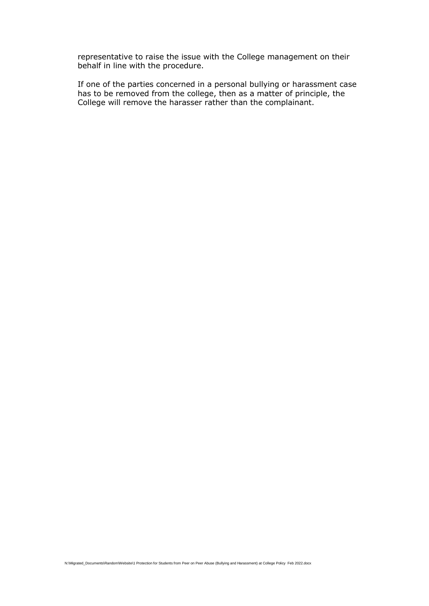representative to raise the issue with the College management on their behalf in line with the procedure.

If one of the parties concerned in a personal bullying or harassment case has to be removed from the college, then as a matter of principle, the College will remove the harasser rather than the complainant.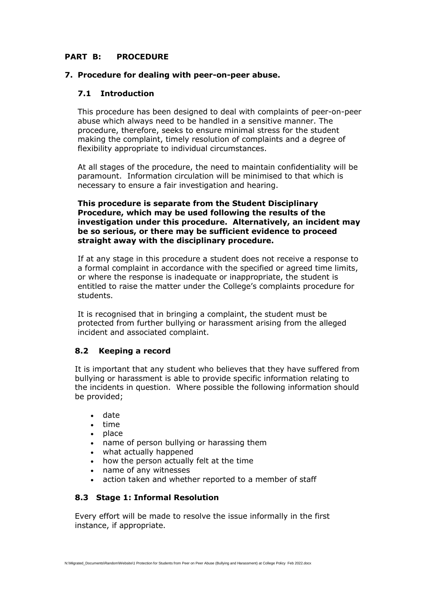#### **PART B: PROCEDURE**

#### **7. Procedure for dealing with peer-on-peer abuse.**

#### **7.1 Introduction**

This procedure has been designed to deal with complaints of peer-on-peer abuse which always need to be handled in a sensitive manner. The procedure, therefore, seeks to ensure minimal stress for the student making the complaint, timely resolution of complaints and a degree of flexibility appropriate to individual circumstances.

At all stages of the procedure, the need to maintain confidentiality will be paramount. Information circulation will be minimised to that which is necessary to ensure a fair investigation and hearing.

#### **This procedure is separate from the Student Disciplinary Procedure, which may be used following the results of the investigation under this procedure. Alternatively, an incident may be so serious, or there may be sufficient evidence to proceed straight away with the disciplinary procedure.**

If at any stage in this procedure a student does not receive a response to a formal complaint in accordance with the specified or agreed time limits, or where the response is inadequate or inappropriate, the student is entitled to raise the matter under the College's complaints procedure for students.

It is recognised that in bringing a complaint, the student must be protected from further bullying or harassment arising from the alleged incident and associated complaint.

#### **8.2 Keeping a record**

It is important that any student who believes that they have suffered from bullying or harassment is able to provide specific information relating to the incidents in question. Where possible the following information should be provided;

- date
- time
- place
- name of person bullying or harassing them
- what actually happened
- how the person actually felt at the time
- name of any witnesses
- action taken and whether reported to a member of staff

#### **8.3 Stage 1: Informal Resolution**

Every effort will be made to resolve the issue informally in the first instance, if appropriate.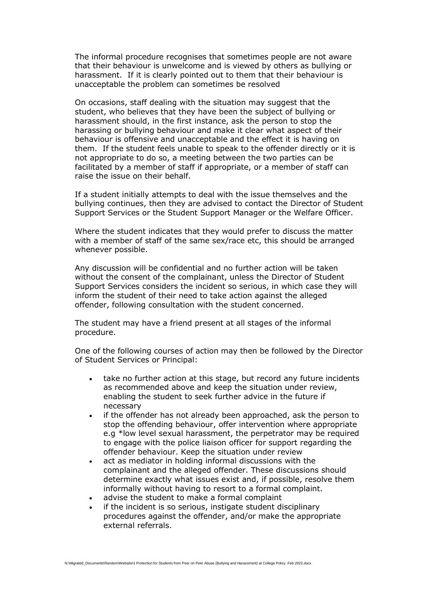The informal procedure recognises that sometimes people are not aware that their behaviour is unwelcome and is viewed by others as bullying or harassment. If it is clearly pointed out to them that their behaviour is unacceptable the problem can sometimes be resolved

On occasions, staff dealing with the situation may suggest that the student, who believes that they have been the subject of bullying or harassment should, in the first instance, ask the person to stop the harassing or bullying behaviour and make it clear what aspect of their behaviour is offensive and unacceptable and the effect it is having on them. If the student feels unable to speak to the offender directly or it is not appropriate to do so, a meeting between the two parties can be facilitated by a member of staff if appropriate, or a member of staff can raise the issue on their behalf.

If a student initially attempts to deal with the issue themselves and the bullying continues, then they are advised to contact the Director of Student Support Services or the Student Support Manager or the Welfare Officer.

Where the student indicates that they would prefer to discuss the matter with a member of staff of the same sex/race etc, this should be arranged whenever possible.

Any discussion will be confidential and no further action will be taken without the consent of the complainant, unless the Director of Student Support Services considers the incident so serious, in which case they will inform the student of their need to take action against the alleged offender, following consultation with the student concerned.

The student may have a friend present at all stages of the informal procedure.

One of the following courses of action may then be followed by the Director of Student Services or Principal:

- take no further action at this stage, but record any future incidents as recommended above and keep the situation under review, enabling the student to seek further advice in the future if necessary
- if the offender has not already been approached, ask the person to stop the offending behaviour, offer intervention where appropriate e.g \*low level sexual harassment, the perpetrator may be required to engage with the police liaison officer for support regarding the offender behaviour. Keep the situation under review
- act as mediator in holding informal discussions with the complainant and the alleged offender. These discussions should determine exactly what issues exist and, if possible, resolve them informally without having to resort to a formal complaint.
- advise the student to make a formal complaint
- if the incident is so serious, instigate student disciplinary procedures against the offender, and/or make the appropriate external referrals.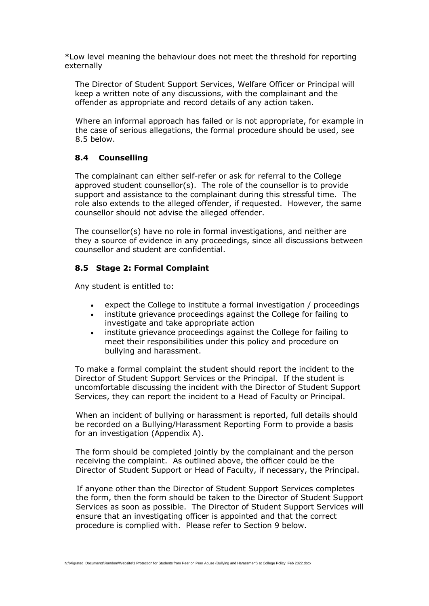\*Low level meaning the behaviour does not meet the threshold for reporting externally

The Director of Student Support Services, Welfare Officer or Principal will keep a written note of any discussions, with the complainant and the offender as appropriate and record details of any action taken.

Where an informal approach has failed or is not appropriate, for example in the case of serious allegations, the formal procedure should be used, see 8.5 below.

#### **8.4 Counselling**

The complainant can either self-refer or ask for referral to the College approved student counsellor(s). The role of the counsellor is to provide support and assistance to the complainant during this stressful time. The role also extends to the alleged offender, if requested. However, the same counsellor should not advise the alleged offender.

The counsellor(s) have no role in formal investigations, and neither are they a source of evidence in any proceedings, since all discussions between counsellor and student are confidential.

#### **8.5 Stage 2: Formal Complaint**

Any student is entitled to:

- expect the College to institute a formal investigation / proceedings
- institute grievance proceedings against the College for failing to investigate and take appropriate action
- institute grievance proceedings against the College for failing to meet their responsibilities under this policy and procedure on bullying and harassment.

To make a formal complaint the student should report the incident to the Director of Student Support Services or the Principal. If the student is uncomfortable discussing the incident with the Director of Student Support Services, they can report the incident to a Head of Faculty or Principal.

When an incident of bullying or harassment is reported, full details should be recorded on a Bullying/Harassment Reporting Form to provide a basis for an investigation (Appendix A).

The form should be completed jointly by the complainant and the person receiving the complaint. As outlined above, the officer could be the Director of Student Support or Head of Faculty, if necessary, the Principal.

If anyone other than the Director of Student Support Services completes the form, then the form should be taken to the Director of Student Support Services as soon as possible. The Director of Student Support Services will ensure that an investigating officer is appointed and that the correct procedure is complied with. Please refer to Section 9 below.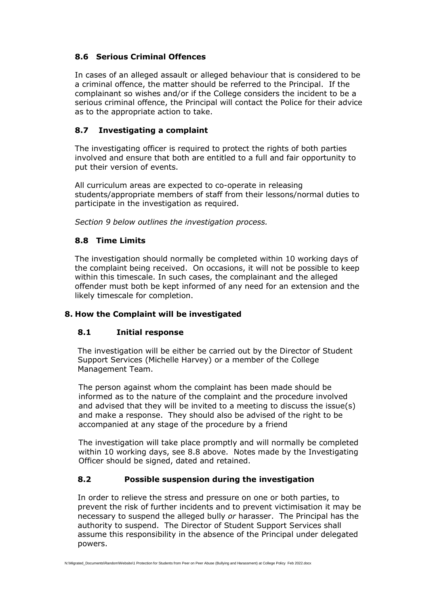#### **8.6 Serious Criminal Offences**

In cases of an alleged assault or alleged behaviour that is considered to be a criminal offence, the matter should be referred to the Principal. If the complainant so wishes and/or if the College considers the incident to be a serious criminal offence, the Principal will contact the Police for their advice as to the appropriate action to take.

#### **8.7 Investigating a complaint**

The investigating officer is required to protect the rights of both parties involved and ensure that both are entitled to a full and fair opportunity to put their version of events.

All curriculum areas are expected to co-operate in releasing students/appropriate members of staff from their lessons/normal duties to participate in the investigation as required.

*Section 9 below outlines the investigation process.*

#### **8.8 Time Limits**

The investigation should normally be completed within 10 working days of the complaint being received. On occasions, it will not be possible to keep within this timescale. In such cases, the complainant and the alleged offender must both be kept informed of any need for an extension and the likely timescale for completion.

#### **8. How the Complaint will be investigated**

#### **8.1 Initial response**

The investigation will be either be carried out by the Director of Student Support Services (Michelle Harvey) or a member of the College Management Team.

The person against whom the complaint has been made should be informed as to the nature of the complaint and the procedure involved and advised that they will be invited to a meeting to discuss the issue(s) and make a response. They should also be advised of the right to be accompanied at any stage of the procedure by a friend

The investigation will take place promptly and will normally be completed within 10 working days, see 8.8 above. Notes made by the Investigating Officer should be signed, dated and retained.

#### **8.2 Possible suspension during the investigation**

In order to relieve the stress and pressure on one or both parties, to prevent the risk of further incidents and to prevent victimisation it may be necessary to suspend the alleged bully *or* harasser. The Principal has the authority to suspend. The Director of Student Support Services shall assume this responsibility in the absence of the Principal under delegated powers.

N:\Migrated\_Documents\Random\Website\1 Protection for Students from Peer on Peer Abuse (Bullying and Harassment) at College Policy Feb 2022.docx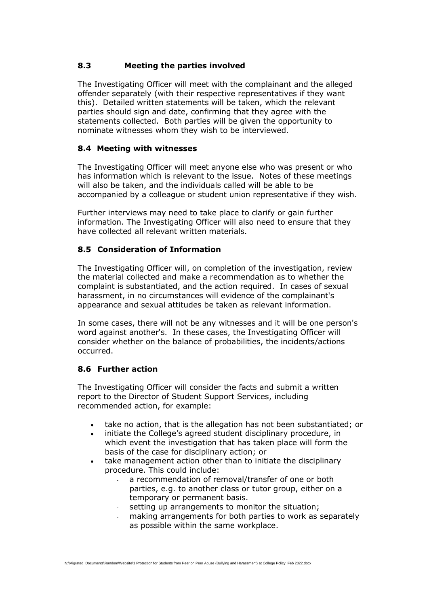## **8.3 Meeting the parties involved**

The Investigating Officer will meet with the complainant and the alleged offender separately (with their respective representatives if they want this). Detailed written statements will be taken, which the relevant parties should sign and date, confirming that they agree with the statements collected. Both parties will be given the opportunity to nominate witnesses whom they wish to be interviewed.

#### **8.4 Meeting with witnesses**

The Investigating Officer will meet anyone else who was present or who has information which is relevant to the issue. Notes of these meetings will also be taken, and the individuals called will be able to be accompanied by a colleague or student union representative if they wish.

Further interviews may need to take place to clarify or gain further information. The Investigating Officer will also need to ensure that they have collected all relevant written materials.

#### **8.5 Consideration of Information**

The Investigating Officer will, on completion of the investigation, review the material collected and make a recommendation as to whether the complaint is substantiated, and the action required. In cases of sexual harassment, in no circumstances will evidence of the complainant's appearance and sexual attitudes be taken as relevant information.

In some cases, there will not be any witnesses and it will be one person's word against another's. In these cases, the Investigating Officer will consider whether on the balance of probabilities, the incidents/actions occurred.

#### **8.6 Further action**

The Investigating Officer will consider the facts and submit a written report to the Director of Student Support Services, including recommended action, for example:

- take no action, that is the allegation has not been substantiated; or
- initiate the College's agreed student disciplinary procedure, in which event the investigation that has taken place will form the basis of the case for disciplinary action; or
- take management action other than to initiate the disciplinary procedure. This could include:
	- a recommendation of removal/transfer of one or both parties, e.g. to another class or tutor group, either on a temporary or permanent basis.
	- setting up arrangements to monitor the situation;
	- making arrangements for both parties to work as separately as possible within the same workplace.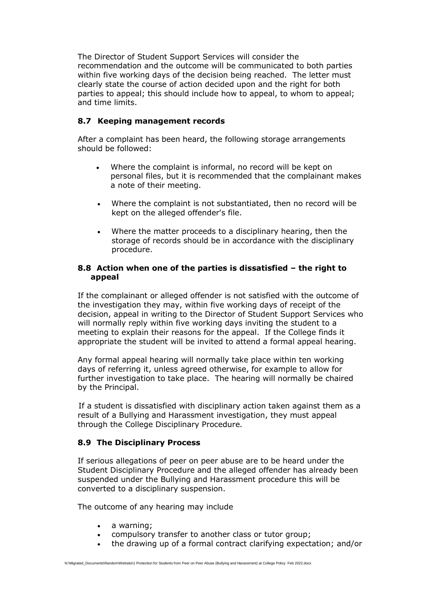The Director of Student Support Services will consider the recommendation and the outcome will be communicated to both parties within five working days of the decision being reached. The letter must clearly state the course of action decided upon and the right for both parties to appeal; this should include how to appeal, to whom to appeal; and time limits.

#### **8.7 Keeping management records**

After a complaint has been heard, the following storage arrangements should be followed:

- Where the complaint is informal, no record will be kept on personal files, but it is recommended that the complainant makes a note of their meeting.
- Where the complaint is not substantiated, then no record will be kept on the alleged offender's file.
- Where the matter proceeds to a disciplinary hearing, then the storage of records should be in accordance with the disciplinary procedure.

#### **8.8 Action when one of the parties is dissatisfied – the right to appeal**

If the complainant or alleged offender is not satisfied with the outcome of the investigation they may, within five working days of receipt of the decision, appeal in writing to the Director of Student Support Services who will normally reply within five working days inviting the student to a meeting to explain their reasons for the appeal. If the College finds it appropriate the student will be invited to attend a formal appeal hearing.

Any formal appeal hearing will normally take place within ten working days of referring it, unless agreed otherwise, for example to allow for further investigation to take place. The hearing will normally be chaired by the Principal.

If a student is dissatisfied with disciplinary action taken against them as a result of a Bullying and Harassment investigation, they must appeal through the College Disciplinary Procedure*.*

#### **8.9 The Disciplinary Process**

If serious allegations of peer on peer abuse are to be heard under the Student Disciplinary Procedure and the alleged offender has already been suspended under the Bullying and Harassment procedure this will be converted to a disciplinary suspension.

The outcome of any hearing may include

- a warning;
- compulsory transfer to another class or tutor group;
- the drawing up of a formal contract clarifying expectation; and/or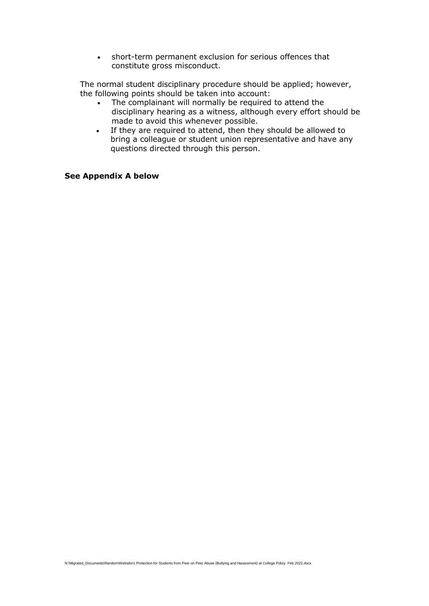• short-term permanent exclusion for serious offences that constitute gross misconduct.

The normal student disciplinary procedure should be applied; however, the following points should be taken into account:

- The complainant will normally be required to attend the disciplinary hearing as a witness, although every effort should be made to avoid this whenever possible.
- If they are required to attend, then they should be allowed to bring a colleague or student union representative and have any questions directed through this person.

#### **See Appendix A below**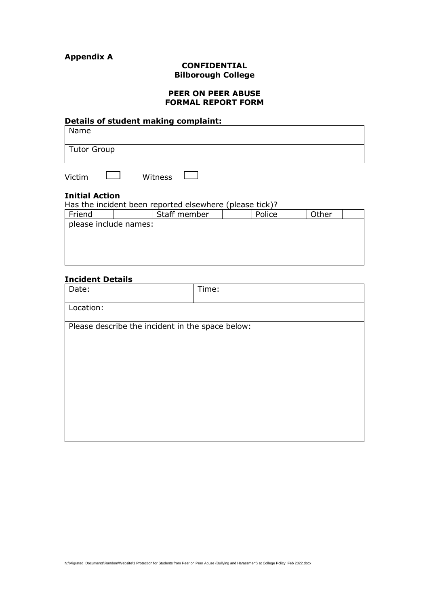# **Appendix A**

#### **CONFIDENTIAL Bilborough College**

#### **PEER ON PEER ABUSE FORMAL REPORT FORM**

| Details of student making complaint: |  |
|--------------------------------------|--|
| Name                                 |  |
| Tutor Group                          |  |
|                                      |  |

Victim **Dans** Witness **Dans** 

### **Initial Action**

| Has the incident been reported elsewhere (please tick)? |              |        |       |  |  |  |
|---------------------------------------------------------|--------------|--------|-------|--|--|--|
| Friend                                                  | Staff member | Police | Other |  |  |  |
| please include names:                                   |              |        |       |  |  |  |
|                                                         |              |        |       |  |  |  |
|                                                         |              |        |       |  |  |  |
|                                                         |              |        |       |  |  |  |

#### **Incident Details**

| Date:                                            | Time: |  |  |  |
|--------------------------------------------------|-------|--|--|--|
| Location:                                        |       |  |  |  |
| Please describe the incident in the space below: |       |  |  |  |
|                                                  |       |  |  |  |
|                                                  |       |  |  |  |
|                                                  |       |  |  |  |
|                                                  |       |  |  |  |
|                                                  |       |  |  |  |
|                                                  |       |  |  |  |